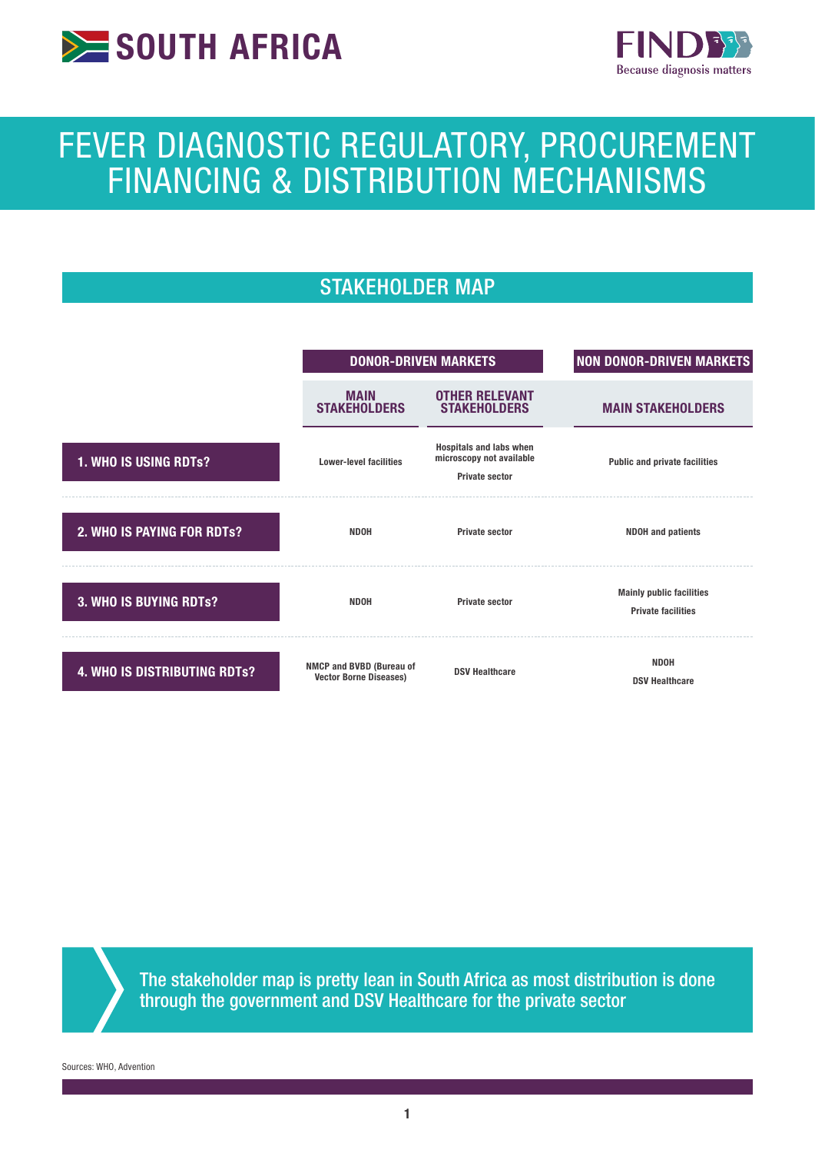



# FEVER DIAGNOSTIC REGULATORY, PROCUREMENT FINANCING & DISTRIBUTION MECHANISMS

# STAKEHOLDER MAP



The stakeholder map is pretty lean in South Africa as most distribution is done through the government and DSV Healthcare for the private sector

Sources: WHO, Advention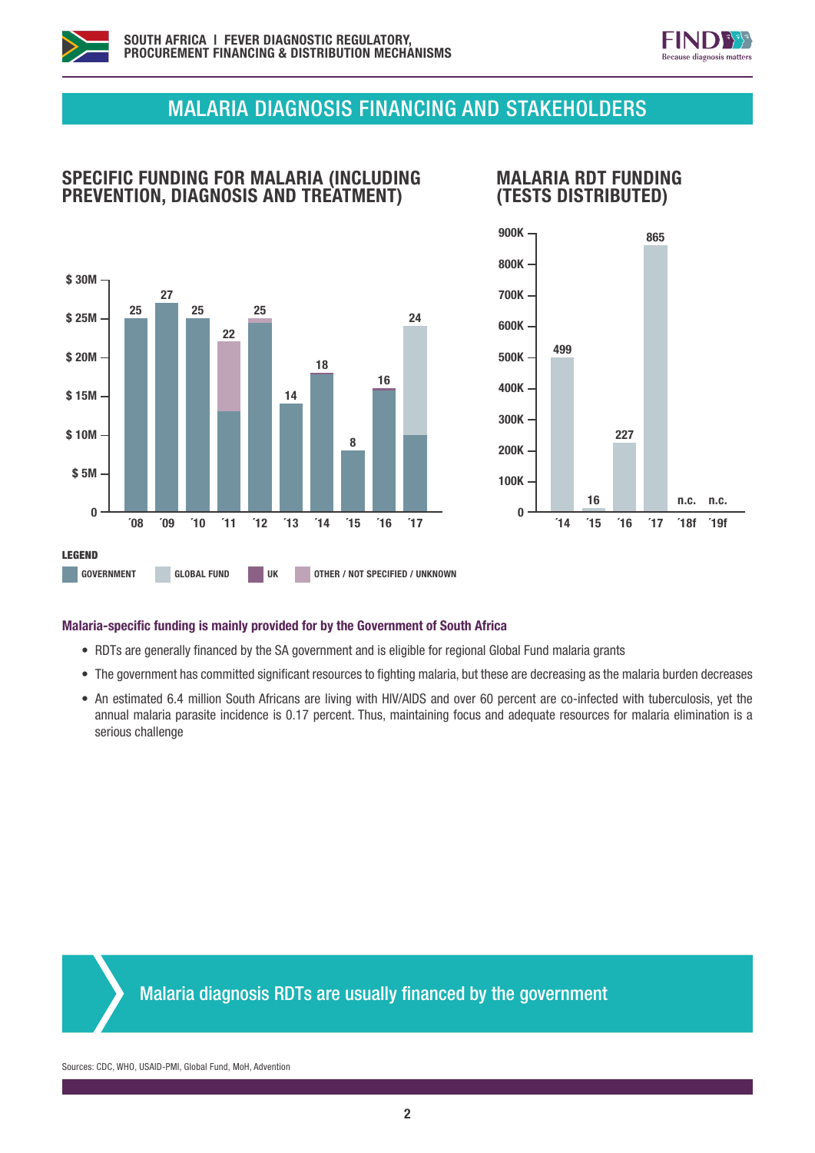



# MALARIA DIAGNOSIS FINANCING AND STAKEHOLDERS



SPECIFIC FUNDING FOR MALARIA (INCLUDING PREVENTION, DIAGNOSIS AND TREATMENT)



### Malaria-specific funding is mainly provided for by the Government of South Africa

- RDTs are generally financed by the SA government and is eligible for regional Global Fund malaria grants
- The government has committed significant resources to fighting malaria, but these are decreasing as the malaria burden decreases
- An estimated 6.4 million South Africans are living with HIV/AIDS and over 60 percent are co-infected with tuberculosis, yet the annual malaria parasite incidence is 0.17 percent. Thus, maintaining focus and adequate resources for malaria elimination is a serious challenge



Malaria diagnosis RDTs are usually financed by the government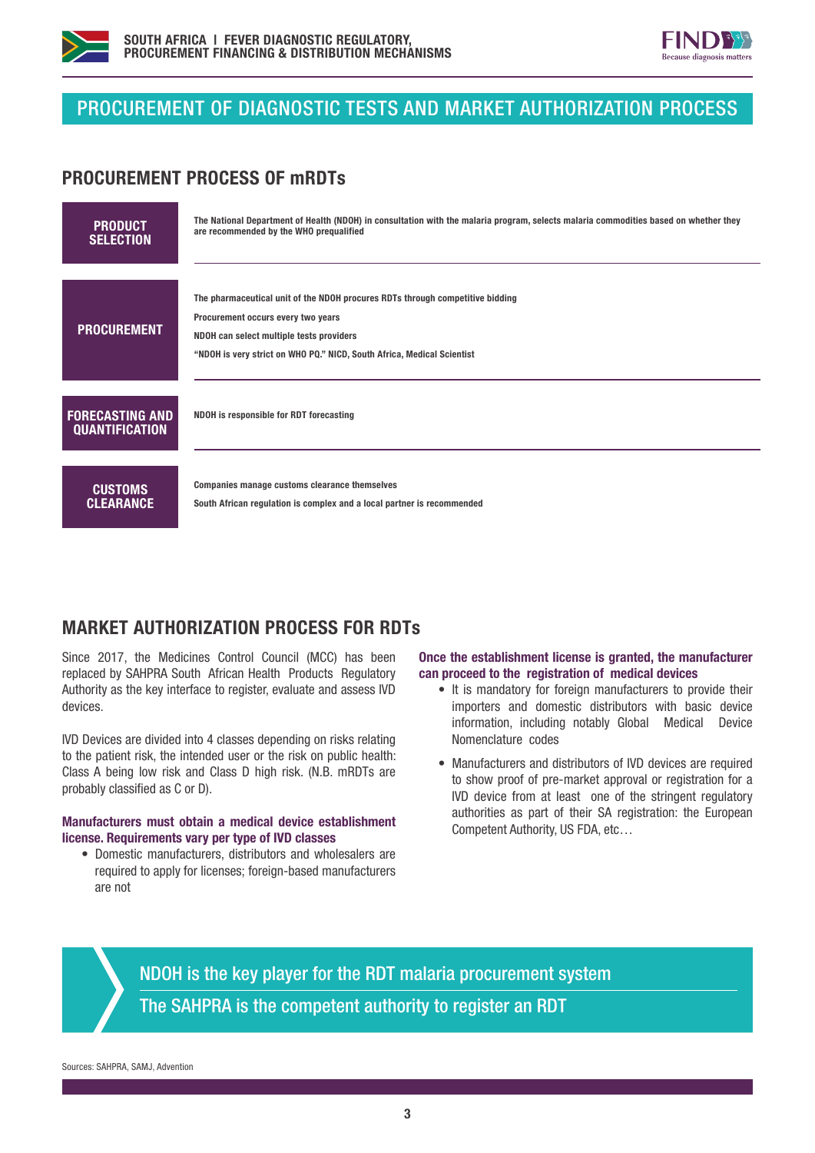



# PROCUREMENT OF DIAGNOSTIC TESTS AND MARKET AUTHORIZATION PROCESS

## PROCUREMENT PROCESS OF mRDTs

| <b>PRODUCT</b>                                  | The National Department of Health (NDOH) in consultation with the malaria program, selects malaria commodities based on whether they                                                                                                      |
|-------------------------------------------------|-------------------------------------------------------------------------------------------------------------------------------------------------------------------------------------------------------------------------------------------|
| <b>SELECTION</b>                                | are recommended by the WHO prequalified                                                                                                                                                                                                   |
| <b>PROCUREMENT</b>                              | The pharmaceutical unit of the NDOH procures RDTs through competitive bidding<br>Procurement occurs every two years<br>NDOH can select multiple tests providers<br>"NDOH is very strict on WHO PQ." NICD, South Africa, Medical Scientist |
| <b>FORECASTING AND</b><br><b>QUANTIFICATION</b> | NDOH is responsible for RDT forecasting                                                                                                                                                                                                   |
| <b>CUSTOMS</b>                                  | Companies manage customs clearance themselves                                                                                                                                                                                             |
| <b>CLEARANCE</b>                                | South African regulation is complex and a local partner is recommended                                                                                                                                                                    |

## MARKET AUTHORIZATION PROCESS FOR RDTs

Since 2017, the Medicines Control Council (MCC) has been replaced by SAHPRA South African Health Products Regulatory Authority as the key interface to register, evaluate and assess IVD devices.

IVD Devices are divided into 4 classes depending on risks relating to the patient risk, the intended user or the risk on public health: Class A being low risk and Class D high risk. (N.B. mRDTs are probably classified as C or D).

#### Manufacturers must obtain a medical device establishment license. Requirements vary per type of IVD classes

• Domestic manufacturers, distributors and wholesalers are required to apply for licenses; foreign-based manufacturers are not

### Once the establishment license is granted, the manufacturer can proceed to the registration of medical devices

- It is mandatory for foreign manufacturers to provide their importers and domestic distributors with basic device information, including notably Global Medical Device Nomenclature codes
- Manufacturers and distributors of IVD devices are required to show proof of pre-market approval or registration for a IVD device from at least one of the stringent regulatory authorities as part of their SA registration: the European Competent Authority, US FDA, etc…

NDOH is the key player for the RDT malaria procurement system The SAHPRA is the competent authority to register an RDT